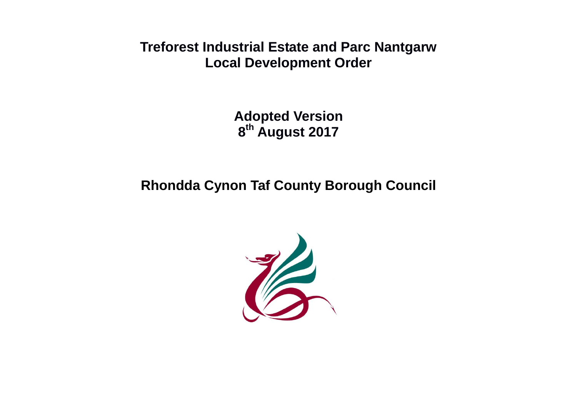**Treforest Industrial Estate and Parc Nantgarw Local Development Order**

> **Adopted Version 8 th August 2017**

**Rhondda Cynon Taf County Borough Council**

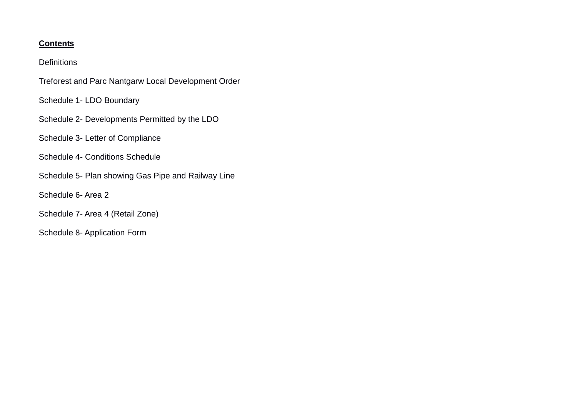#### **Contents**

#### **Definitions**

- Treforest and Parc Nantgarw Local Development Order
- Schedule 1- LDO Boundary
- Schedule 2- Developments Permitted by the LDO
- Schedule 3- Letter of Compliance
- Schedule 4- Conditions Schedule
- Schedule 5- Plan showing Gas Pipe and Railway Line
- Schedule 6- Area 2
- Schedule 7- Area 4 (Retail Zone)
- Schedule 8- Application Form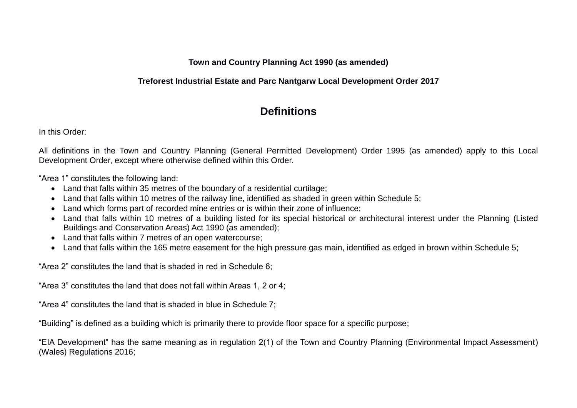**Town and Country Planning Act 1990 (as amended)**

#### **Treforest Industrial Estate and Parc Nantgarw Local Development Order 2017**

# **Definitions**

In this Order:

All definitions in the Town and Country Planning (General Permitted Development) Order 1995 (as amended) apply to this Local Development Order, except where otherwise defined within this Order.

"Area 1" constitutes the following land:

- Land that falls within 35 metres of the boundary of a residential curtilage;
- Land that falls within 10 metres of the railway line, identified as shaded in green within Schedule 5;
- Land which forms part of recorded mine entries or is within their zone of influence;
- Land that falls within 10 metres of a building listed for its special historical or architectural interest under the Planning (Listed Buildings and Conservation Areas) Act 1990 (as amended);
- Land that falls within 7 metres of an open watercourse;
- Land that falls within the 165 metre easement for the high pressure gas main, identified as edged in brown within Schedule 5;

"Area 2" constitutes the land that is shaded in red in Schedule 6;

"Area 3" constitutes the land that does not fall within Areas 1, 2 or 4;

"Area 4" constitutes the land that is shaded in blue in Schedule 7;

"Building" is defined as a building which is primarily there to provide floor space for a specific purpose;

"EIA Development" has the same meaning as in regulation 2(1) of the Town and Country Planning (Environmental Impact Assessment) (Wales) Regulations 2016;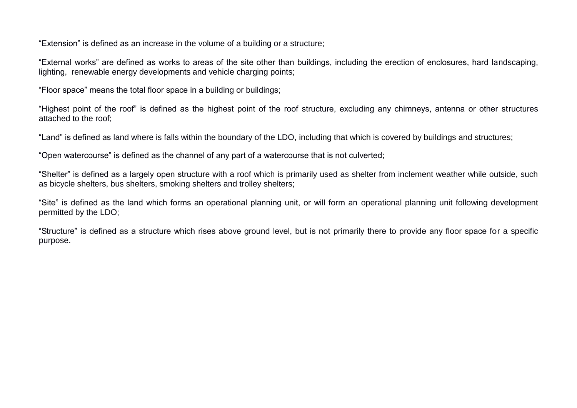"Extension" is defined as an increase in the volume of a building or a structure;

"External works" are defined as works to areas of the site other than buildings, including the erection of enclosures, hard landscaping, lighting, renewable energy developments and vehicle charging points;

"Floor space" means the total floor space in a building or buildings;

"Highest point of the roof" is defined as the highest point of the roof structure, excluding any chimneys, antenna or other structures attached to the roof;

"Land" is defined as land where is falls within the boundary of the LDO, including that which is covered by buildings and structures;

"Open watercourse" is defined as the channel of any part of a watercourse that is not culverted;

"Shelter" is defined as a largely open structure with a roof which is primarily used as shelter from inclement weather while outside, such as bicycle shelters, bus shelters, smoking shelters and trolley shelters;

"Site" is defined as the land which forms an operational planning unit, or will form an operational planning unit following development permitted by the LDO;

"Structure" is defined as a structure which rises above ground level, but is not primarily there to provide any floor space for a specific purpose.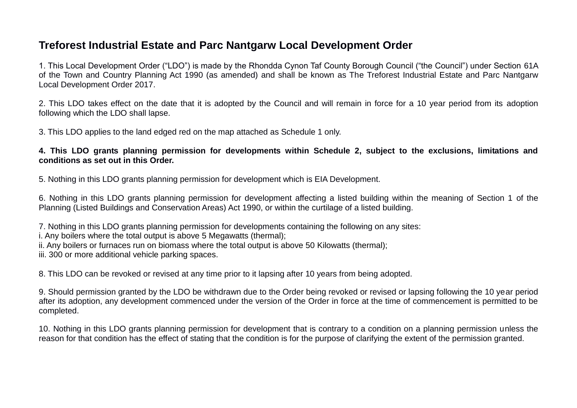## **Treforest Industrial Estate and Parc Nantgarw Local Development Order**

1. This Local Development Order ("LDO") is made by the Rhondda Cynon Taf County Borough Council ("the Council") under Section 61A of the Town and Country Planning Act 1990 (as amended) and shall be known as The Treforest Industrial Estate and Parc Nantgarw Local Development Order 2017.

2. This LDO takes effect on the date that it is adopted by the Council and will remain in force for a 10 year period from its adoption following which the LDO shall lapse.

3. This LDO applies to the land edged red on the map attached as Schedule 1 only.

**4. This LDO grants planning permission for developments within Schedule 2, subject to the exclusions, limitations and conditions as set out in this Order.**

5. Nothing in this LDO grants planning permission for development which is EIA Development.

6. Nothing in this LDO grants planning permission for development affecting a listed building within the meaning of Section 1 of the Planning (Listed Buildings and Conservation Areas) Act 1990, or within the curtilage of a listed building.

7. Nothing in this LDO grants planning permission for developments containing the following on any sites:

i. [Any b](mailbox://data/helen/rrxeekgj.default/Mail/mail.toxicbreakfast.com/Inbox?number=1835#PD10)oilers where the total output is above [5 Megawatts \(thermal\);](mailbox://data/helen/rrxeekgj.default/Mail/mail.toxicbreakfast.com/Inbox?number=1835#PD10)

ii. [Any boilers or furnaces run on biomass where the total output is above 50](mailbox://data/helen/rrxeekgj.default/Mail/mail.toxicbreakfast.com/Inbox?number=1835#PD10) Kilowatts (thermal);

iii. 300 or more additional vehicle parking spaces.

8. This LDO can be revoked or revised at any time prior to it lapsing after 10 years from being adopted.

9. Should permission granted by the LDO be withdrawn due to the Order being revoked or revised or lapsing following the 10 year period after its adoption, any development commenced under the version of the Order in force at the time of commencement is permitted to be completed.

10. Nothing in this LDO grants planning permission for development that is contrary to a condition on a planning permission unless the reason for that condition has the effect of stating that the condition is for the purpose of clarifying the extent of the permission granted.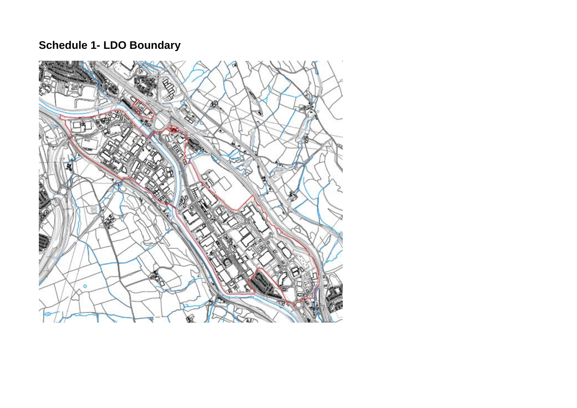# **Schedule 1- LDO Boundary**

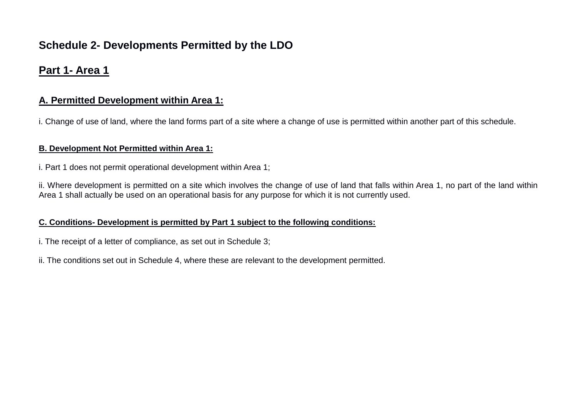# **Schedule 2- Developments Permitted by the LDO**

## **Part 1- Area 1**

## **A. Permitted Development within Area 1:**

i. Change of use of land, where the land forms part of a site where a change of use is permitted within another part of this schedule.

#### **B. Development Not Permitted within Area 1:**

i. Part 1 does not permit operational development within Area 1;

ii. Where development is permitted on a site which involves the change of use of land that falls within Area 1, no part of the land within Area 1 shall actually be used on an operational basis for any purpose for which it is not currently used.

#### **C. Conditions- Development is permitted by Part 1 subject to the following conditions:**

i. The receipt of a letter of compliance, as set out in Schedule 3;

ii. The conditions set out in Schedule 4, where these are relevant to the development permitted.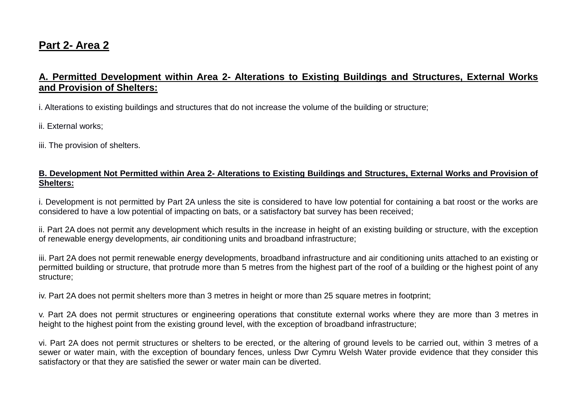# **Part 2- Area 2**

## **A. Permitted Development within Area 2- Alterations to Existing Buildings and Structures, External Works and Provision of Shelters:**

i. Alterations to existing buildings and structures that do not increase the volume of the building or structure;

ii. External works;

iii. The provision of shelters.

#### **B. Development Not Permitted within Area 2- Alterations to Existing Buildings and Structures, External Works and Provision of Shelters:**

i. Development is not permitted by Part 2A unless the site is considered to have low potential for containing a bat roost or the works are considered to have a low potential of impacting on bats, or a satisfactory bat survey has been received;

ii. Part 2A does not permit any development which results in the increase in height of an existing building or structure, with the exception of renewable energy developments, air conditioning units and broadband infrastructure;

iii. Part 2A does not permit renewable energy developments, broadband infrastructure and air conditioning units attached to an existing or permitted building or structure, that protrude more than 5 metres from the highest part of the roof of a building or the highest point of any structure;

iv. Part 2A does not permit shelters more than 3 metres in height or more than 25 square metres in footprint;

v. Part 2A does not permit structures or engineering operations that constitute external works where they are more than 3 metres in height to the highest point from the existing ground level, with the exception of broadband infrastructure;

vi. Part 2A does not permit structures or shelters to be erected, or the altering of ground levels to be carried out, within 3 metres of a sewer or water main, with the exception of boundary fences, unless Dwr Cymru Welsh Water provide evidence that they consider this satisfactory or that they are satisfied the sewer or water main can be diverted.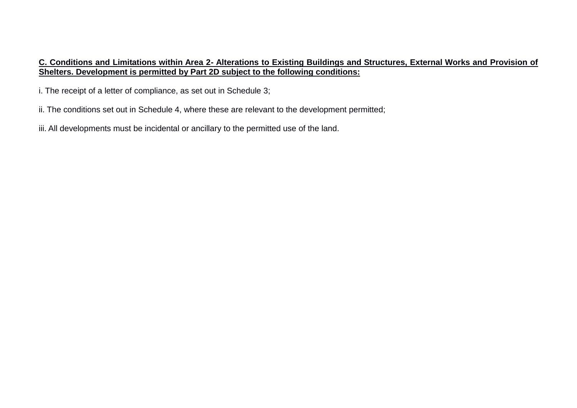#### **C. Conditions and Limitations within Area 2- Alterations to Existing Buildings and Structures, External Works and Provision of Shelters. Development is permitted by Part 2D subject to the following conditions:**

i. The receipt of a letter of compliance, as set out in Schedule 3;

ii. The conditions set out in Schedule 4, where these are relevant to the development permitted;

iii. All developments must be incidental or ancillary to the permitted use of the land.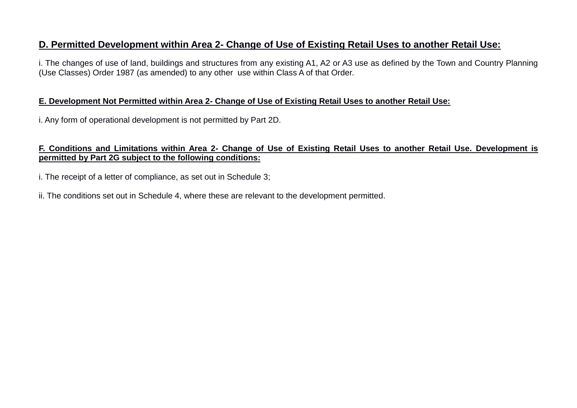## **D. Permitted Development within Area 2- Change of Use of Existing Retail Uses to another Retail Use:**

i. The changes of use of land, buildings and structures from any existing A1, A2 or A3 use as defined by the Town and Country Planning (Use Classes) Order 1987 (as amended) to any other use within Class A of that Order.

#### **E. Development Not Permitted within Area 2- Change of Use of Existing Retail Uses to another Retail Use:**

i. Any form of operational development is not permitted by Part 2D.

#### **F. Conditions and Limitations within Area 2- Change of Use of Existing Retail Uses to another Retail Use. Development is permitted by Part 2G subject to the following conditions:**

i. The receipt of a letter of compliance, as set out in Schedule 3;

ii. The conditions set out in Schedule 4, where these are relevant to the development permitted.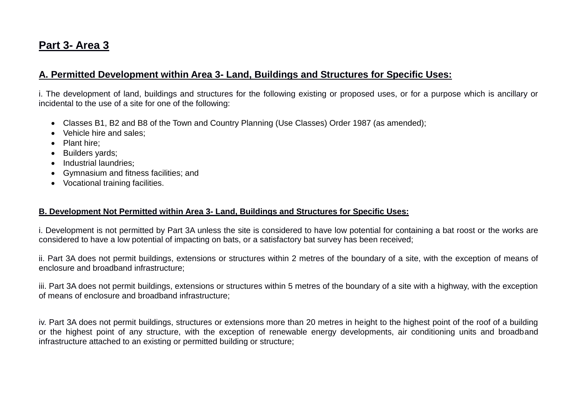# **Part 3- Area 3**

## **A. Permitted Development within Area 3- Land, Buildings and Structures for Specific Uses:**

i. The development of land, buildings and structures for the following existing or proposed uses, or for a purpose which is ancillary or incidental to the use of a site for one of the following:

- Classes B1, B2 and B8 of the Town and Country Planning (Use Classes) Order 1987 (as amended);
- Vehicle hire and sales;
- Plant hire:
- Builders yards;
- Industrial laundries:
- Gymnasium and fitness facilities; and
- Vocational training facilities.

#### **B. Development Not Permitted within Area 3- Land, Buildings and Structures for Specific Uses:**

i. Development is not permitted by Part 3A unless the site is considered to have low potential for containing a bat roost or the works are considered to have a low potential of impacting on bats, or a satisfactory bat survey has been received;

ii. Part 3A does not permit buildings, extensions or structures within 2 metres of the boundary of a site, with the exception of means of enclosure and broadband infrastructure;

iii. Part 3A does not permit buildings, extensions or structures within 5 metres of the boundary of a site with a highway, with the exception of means of enclosure and broadband infrastructure;

iv. Part 3A does not permit buildings, structures or extensions more than 20 metres in height to the highest point of the roof of a building or the highest point of any structure, with the exception of renewable energy developments, air conditioning units and broadband infrastructure attached to an existing or permitted building or structure;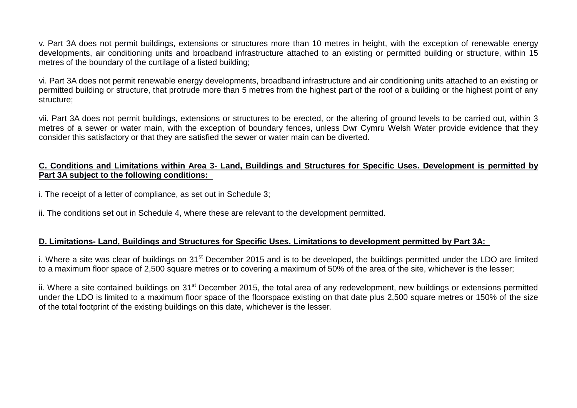v. Part 3A does not permit buildings, extensions or structures more than 10 metres in height, with the exception of renewable energy developments, air conditioning units and broadband infrastructure attached to an existing or permitted building or structure, within 15 metres of the boundary of the curtilage of a listed building;

vi. Part 3A does not permit renewable energy developments, broadband infrastructure and air conditioning units attached to an existing or permitted building or structure, that protrude more than 5 metres from the highest part of the roof of a building or the highest point of any structure;

vii. Part 3A does not permit buildings, extensions or structures to be erected, or the altering of ground levels to be carried out, within 3 metres of a sewer or water main, with the exception of boundary fences, unless Dwr Cymru Welsh Water provide evidence that they consider this satisfactory or that they are satisfied the sewer or water main can be diverted.

#### **C. Conditions and Limitations within Area 3- Land, Buildings and Structures for Specific Uses. Development is permitted by Part 3A subject to the following conditions:**

i. The receipt of a letter of compliance, as set out in Schedule 3;

ii. The conditions set out in Schedule 4, where these are relevant to the development permitted.

#### **D. Limitations- Land, Buildings and Structures for Specific Uses. Limitations to development permitted by Part 3A:**

i. Where a site was clear of buildings on 31<sup>st</sup> December 2015 and is to be developed, the buildings permitted under the LDO are limited to a maximum floor space of 2,500 square metres or to covering a maximum of 50% of the area of the site, whichever is the lesser;

ii. Where a site contained buildings on 31<sup>st</sup> December 2015, the total area of any redevelopment, new buildings or extensions permitted under the LDO is limited to a maximum floor space of the floorspace existing on that date plus 2,500 square metres or 150% of the size of the total footprint of the existing buildings on this date, whichever is the lesser.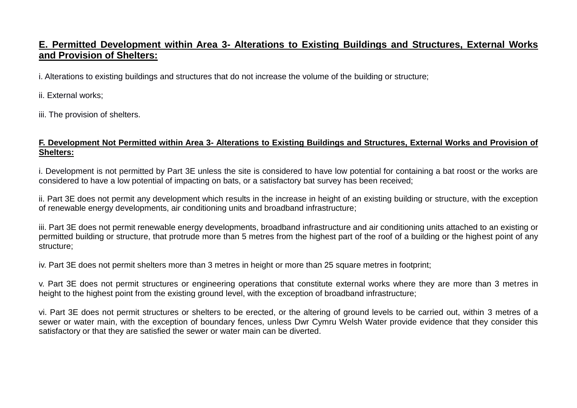## **E. Permitted Development within Area 3- Alterations to Existing Buildings and Structures, External Works and Provision of Shelters:**

i. Alterations to existing buildings and structures that do not increase the volume of the building or structure;

ii. External works;

iii. The provision of shelters.

#### **F. Development Not Permitted within Area 3- Alterations to Existing Buildings and Structures, External Works and Provision of Shelters:**

i. Development is not permitted by Part 3E unless the site is considered to have low potential for containing a bat roost or the works are considered to have a low potential of impacting on bats, or a satisfactory bat survey has been received;

ii. Part 3E does not permit any development which results in the increase in height of an existing building or structure, with the exception of renewable energy developments, air conditioning units and broadband infrastructure;

iii. Part 3E does not permit renewable energy developments, broadband infrastructure and air conditioning units attached to an existing or permitted building or structure, that protrude more than 5 metres from the highest part of the roof of a building or the highest point of any structure;

iv. Part 3E does not permit shelters more than 3 metres in height or more than 25 square metres in footprint;

v. Part 3E does not permit structures or engineering operations that constitute external works where they are more than 3 metres in height to the highest point from the existing ground level, with the exception of broadband infrastructure;

vi. Part 3E does not permit structures or shelters to be erected, or the altering of ground levels to be carried out, within 3 metres of a sewer or water main, with the exception of boundary fences, unless Dwr Cymru Welsh Water provide evidence that they consider this satisfactory or that they are satisfied the sewer or water main can be diverted.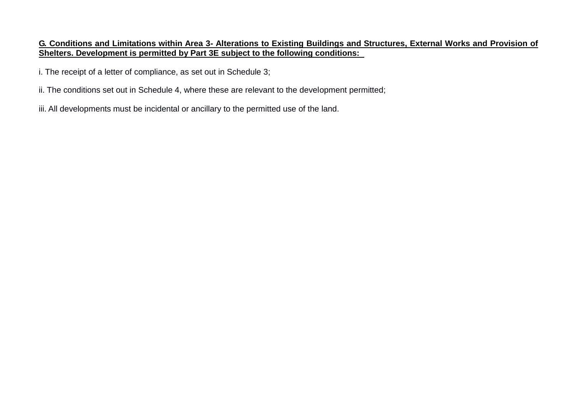#### **G. Conditions and Limitations within Area 3- Alterations to Existing Buildings and Structures, External Works and Provision of Shelters. Development is permitted by Part 3E subject to the following conditions:**

i. The receipt of a letter of compliance, as set out in Schedule 3;

- ii. The conditions set out in Schedule 4, where these are relevant to the development permitted;
- iii. All developments must be incidental or ancillary to the permitted use of the land.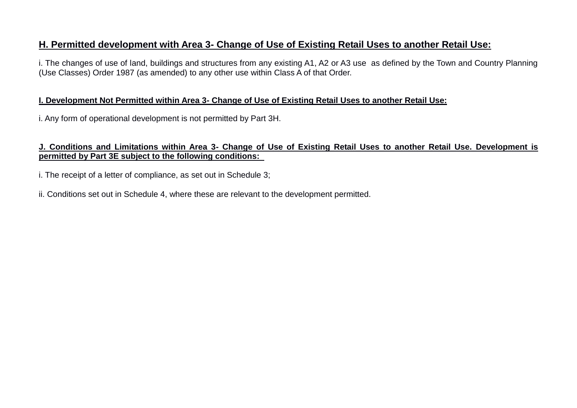## **H. Permitted development with Area 3- Change of Use of Existing Retail Uses to another Retail Use:**

i. The changes of use of land, buildings and structures from any existing A1, A2 or A3 use as defined by the Town and Country Planning (Use Classes) Order 1987 (as amended) to any other use within Class A of that Order.

#### **I. Development Not Permitted within Area 3- Change of Use of Existing Retail Uses to another Retail Use:**

i. Any form of operational development is not permitted by Part 3H.

#### **J. Conditions and Limitations within Area 3- Change of Use of Existing Retail Uses to another Retail Use. Development is permitted by Part 3E subject to the following conditions:**

i. The receipt of a letter of compliance, as set out in Schedule 3;

ii. Conditions set out in Schedule 4, where these are relevant to the development permitted.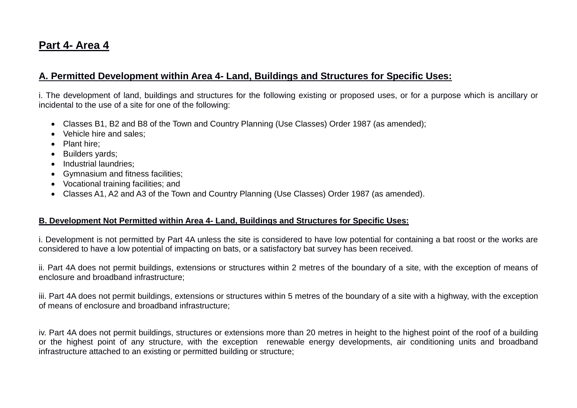# **Part 4- Area 4**

## **A. Permitted Development within Area 4- Land, Buildings and Structures for Specific Uses:**

i. The development of land, buildings and structures for the following existing or proposed uses, or for a purpose which is ancillary or incidental to the use of a site for one of the following:

- Classes B1, B2 and B8 of the Town and Country Planning (Use Classes) Order 1987 (as amended);
- Vehicle hire and sales;
- Plant hire:
- Builders vards;
- Industrial laundries:
- Gymnasium and fitness facilities;
- Vocational training facilities; and
- Classes A1, A2 and A3 of the Town and Country Planning (Use Classes) Order 1987 (as amended).

#### **B. Development Not Permitted within Area 4- Land, Buildings and Structures for Specific Uses:**

i. Development is not permitted by Part 4A unless the site is considered to have low potential for containing a bat roost or the works are considered to have a low potential of impacting on bats, or a satisfactory bat survey has been received.

ii. Part 4A does not permit buildings, extensions or structures within 2 metres of the boundary of a site, with the exception of means of enclosure and broadband infrastructure;

iii. Part 4A does not permit buildings, extensions or structures within 5 metres of the boundary of a site with a highway, with the exception of means of enclosure and broadband infrastructure;

iv. Part 4A does not permit buildings, structures or extensions more than 20 metres in height to the highest point of the roof of a building or the highest point of any structure, with the exception renewable energy developments, air conditioning units and broadband infrastructure attached to an existing or permitted building or structure;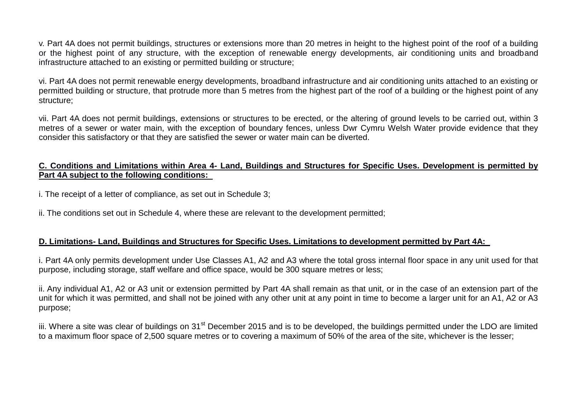v. Part 4A does not permit buildings, structures or extensions more than 20 metres in height to the highest point of the roof of a building or the highest point of any structure, with the exception of renewable energy developments, air conditioning units and broadband infrastructure attached to an existing or permitted building or structure;

vi. Part 4A does not permit renewable energy developments, broadband infrastructure and air conditioning units attached to an existing or permitted building or structure, that protrude more than 5 metres from the highest part of the roof of a building or the highest point of any structure;

vii. Part 4A does not permit buildings, extensions or structures to be erected, or the altering of ground levels to be carried out, within 3 metres of a sewer or water main, with the exception of boundary fences, unless Dwr Cymru Welsh Water provide evidence that they consider this satisfactory or that they are satisfied the sewer or water main can be diverted.

#### **C. Conditions and Limitations within Area 4- Land, Buildings and Structures for Specific Uses. Development is permitted by Part 4A subject to the following conditions:**

i. The receipt of a letter of compliance, as set out in Schedule 3;

ii. The conditions set out in Schedule 4, where these are relevant to the development permitted;

#### **D. Limitations- Land, Buildings and Structures for Specific Uses. Limitations to development permitted by Part 4A:**

i. Part 4A only permits development under Use Classes A1, A2 and A3 where the total gross internal floor space in any unit used for that purpose, including storage, staff welfare and office space, would be 300 square metres or less;

ii. Any individual A1, A2 or A3 unit or extension permitted by Part 4A shall remain as that unit, or in the case of an extension part of the unit for which it was permitted, and shall not be joined with any other unit at any point in time to become a larger unit for an A1, A2 or A3 purpose;

iii. Where a site was clear of buildings on 31<sup>st</sup> December 2015 and is to be developed, the buildings permitted under the LDO are limited to a maximum floor space of 2,500 square metres or to covering a maximum of 50% of the area of the site, whichever is the lesser;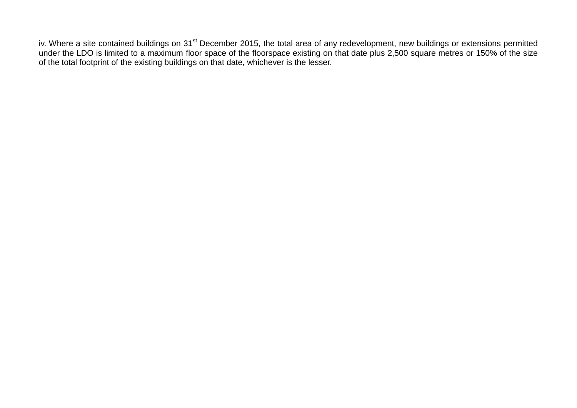iv. Where a site contained buildings on 31<sup>st</sup> December 2015, the total area of any redevelopment, new buildings or extensions permitted under the LDO is limited to a maximum floor space of the floorspace existing on that date plus 2,500 square metres or 150% of the size of the total footprint of the existing buildings on that date, whichever is the lesser.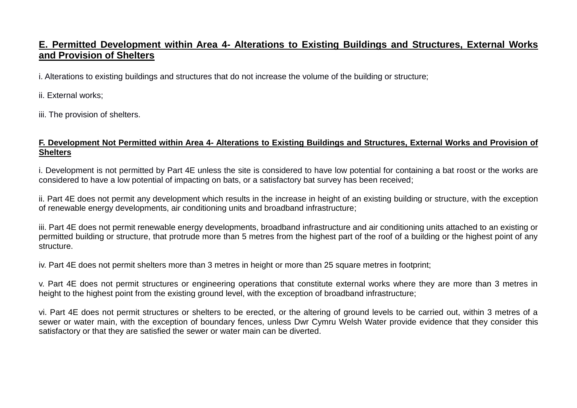## **E. Permitted Development within Area 4- Alterations to Existing Buildings and Structures, External Works and Provision of Shelters**

i. Alterations to existing buildings and structures that do not increase the volume of the building or structure;

ii. External works;

iii. The provision of shelters.

#### **F. Development Not Permitted within Area 4- Alterations to Existing Buildings and Structures, External Works and Provision of Shelters**

i. Development is not permitted by Part 4E unless the site is considered to have low potential for containing a bat roost or the works are considered to have a low potential of impacting on bats, or a satisfactory bat survey has been received;

ii. Part 4E does not permit any development which results in the increase in height of an existing building or structure, with the exception of renewable energy developments, air conditioning units and broadband infrastructure;

iii. Part 4E does not permit renewable energy developments, broadband infrastructure and air conditioning units attached to an existing or permitted building or structure, that protrude more than 5 metres from the highest part of the roof of a building or the highest point of any structure.

iv. Part 4E does not permit shelters more than 3 metres in height or more than 25 square metres in footprint;

v. Part 4E does not permit structures or engineering operations that constitute external works where they are more than 3 metres in height to the highest point from the existing ground level, with the exception of broadband infrastructure;

vi. Part 4E does not permit structures or shelters to be erected, or the altering of ground levels to be carried out, within 3 metres of a sewer or water main, with the exception of boundary fences, unless Dwr Cymru Welsh Water provide evidence that they consider this satisfactory or that they are satisfied the sewer or water main can be diverted.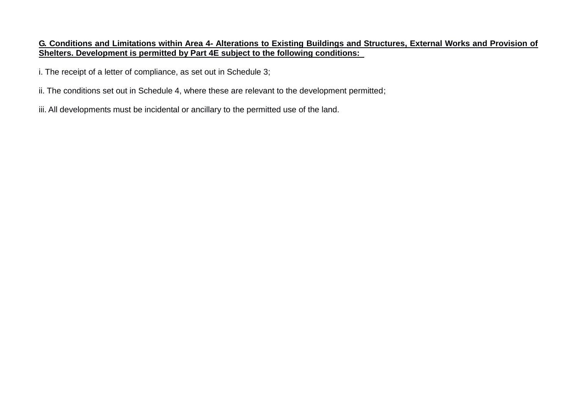#### **G. Conditions and Limitations within Area 4- Alterations to Existing Buildings and Structures, External Works and Provision of Shelters. Development is permitted by Part 4E subject to the following conditions:**

i. The receipt of a letter of compliance, as set out in Schedule 3;

- ii. The conditions set out in Schedule 4, where these are relevant to the development permitted;
- iii. All developments must be incidental or ancillary to the permitted use of the land.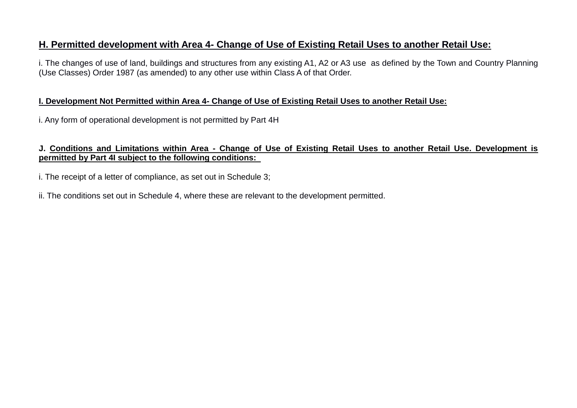## **H. Permitted development with Area 4- Change of Use of Existing Retail Uses to another Retail Use:**

i. The changes of use of land, buildings and structures from any existing A1, A2 or A3 use as defined by the Town and Country Planning (Use Classes) Order 1987 (as amended) to any other use within Class A of that Order.

#### **I. Development Not Permitted within Area 4- Change of Use of Existing Retail Uses to another Retail Use:**

i. Any form of operational development is not permitted by Part 4H

#### **J. Conditions and Limitations within Area - Change of Use of Existing Retail Uses to another Retail Use. Development is permitted by Part 4I subject to the following conditions:**

i. The receipt of a letter of compliance, as set out in Schedule 3;

ii. The conditions set out in Schedule 4, where these are relevant to the development permitted.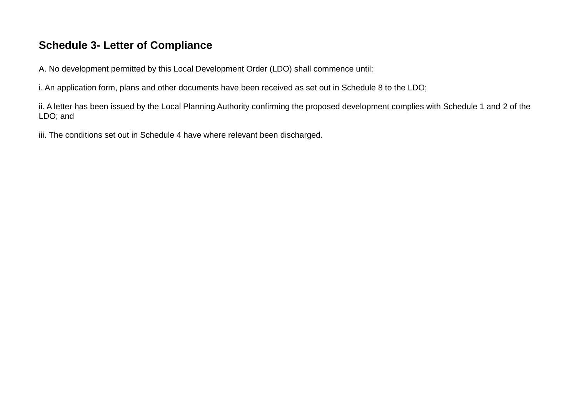# **Schedule 3- Letter of Compliance**

A. No development permitted by this Local Development Order (LDO) shall commence until:

i. An application form, plans and other documents have been received as set out in Schedule 8 to the LDO;

ii. A letter has been issued by the Local Planning Authority confirming the proposed development complies with Schedule 1 and 2 of the LDO; and

iii. The conditions set out in Schedule 4 have where relevant been discharged.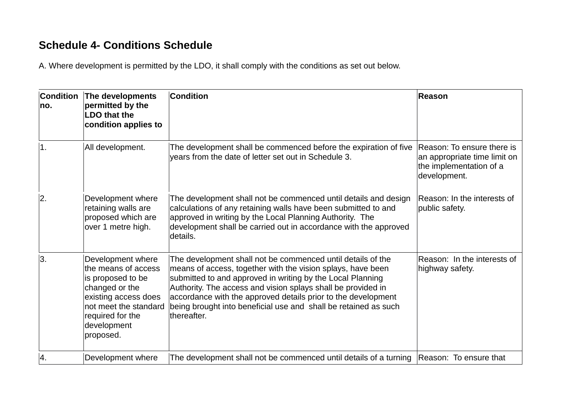# **Schedule 4- Conditions Schedule**

A. Where development is permitted by the LDO, it shall comply with the conditions as set out below.

| <b>Condition</b><br>no. | The developments<br>permitted by the<br><b>LDO that the</b><br>condition applies to                                                                                              | <b>Condition</b>                                                                                                                                                                                                                                                                                                                                                                                            | <b>Reason</b>                                                                                         |
|-------------------------|----------------------------------------------------------------------------------------------------------------------------------------------------------------------------------|-------------------------------------------------------------------------------------------------------------------------------------------------------------------------------------------------------------------------------------------------------------------------------------------------------------------------------------------------------------------------------------------------------------|-------------------------------------------------------------------------------------------------------|
| $\overline{1}$ .        | All development.                                                                                                                                                                 | The development shall be commenced before the expiration of five<br>years from the date of letter set out in Schedule 3.                                                                                                                                                                                                                                                                                    | Reason: To ensure there is<br>an appropriate time limit on<br>the implementation of a<br>development. |
| 2.                      | Development where<br>retaining walls are<br>proposed which are<br>over 1 metre high.                                                                                             | The development shall not be commenced until details and design<br>calculations of any retaining walls have been submitted to and<br>approved in writing by the Local Planning Authority. The<br>development shall be carried out in accordance with the approved<br>details.                                                                                                                               | Reason: In the interests of<br>public safety.                                                         |
| 3.                      | Development where<br>the means of access<br>is proposed to be<br>changed or the<br>existing access does<br>not meet the standard<br>required for the<br>development<br>proposed. | The development shall not be commenced until details of the<br>means of access, together with the vision splays, have been<br>submitted to and approved in writing by the Local Planning<br>Authority. The access and vision splays shall be provided in<br>accordance with the approved details prior to the development<br>being brought into beneficial use and shall be retained as such<br>thereafter. | Reason: In the interests of<br>highway safety.                                                        |
| 4.                      | Development where                                                                                                                                                                | The development shall not be commenced until details of a turning Reason: To ensure that                                                                                                                                                                                                                                                                                                                    |                                                                                                       |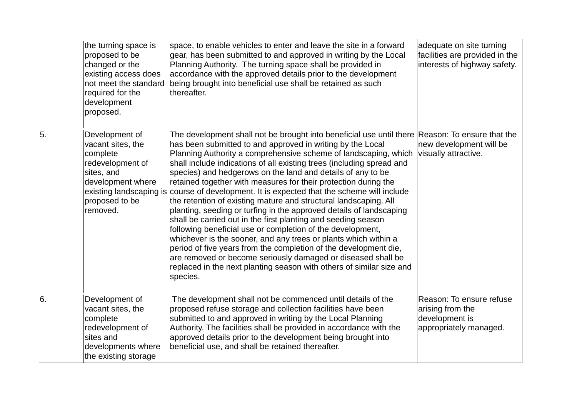|    | the turning space is<br>proposed to be<br>changed or the<br>existing access does<br>not meet the standard<br>required for the<br>development<br>proposed.       | space, to enable vehicles to enter and leave the site in a forward<br>gear, has been submitted to and approved in writing by the Local<br>Planning Authority. The turning space shall be provided in<br>accordance with the approved details prior to the development<br>being brought into beneficial use shall be retained as such<br>thereafter.                                                                                                                                                                                                                                                                                                                                                                                                                                                                                                                                                                                                                                                                                                                                    | adequate on site turning<br>facilities are provided in the<br>interests of highway safety. |
|----|-----------------------------------------------------------------------------------------------------------------------------------------------------------------|----------------------------------------------------------------------------------------------------------------------------------------------------------------------------------------------------------------------------------------------------------------------------------------------------------------------------------------------------------------------------------------------------------------------------------------------------------------------------------------------------------------------------------------------------------------------------------------------------------------------------------------------------------------------------------------------------------------------------------------------------------------------------------------------------------------------------------------------------------------------------------------------------------------------------------------------------------------------------------------------------------------------------------------------------------------------------------------|--------------------------------------------------------------------------------------------|
| 5. | Development of<br>vacant sites, the<br>complete<br>redevelopment of<br>sites, and<br>development where<br>existing landscaping is<br>proposed to be<br>removed. | The development shall not be brought into beneficial use until there Reason: To ensure that the<br>has been submitted to and approved in writing by the Local<br>Planning Authority a comprehensive scheme of landscaping, which<br>shall include indications of all existing trees (including spread and<br>species) and hedgerows on the land and details of any to be<br>retained together with measures for their protection during the<br>course of development. It is expected that the scheme will include<br>the retention of existing mature and structural landscaping. All<br>planting, seeding or turfing in the approved details of landscaping<br>shall be carried out in the first planting and seeding season<br>following beneficial use or completion of the development,<br>whichever is the sooner, and any trees or plants which within a<br>period of five years from the completion of the development die,<br>are removed or become seriously damaged or diseased shall be<br>replaced in the next planting season with others of similar size and<br>species. | new development will be<br>visually attractive.                                            |
| 6. | Development of<br>vacant sites, the<br>complete<br>redevelopment of<br>sites and<br>developments where<br>the existing storage                                  | The development shall not be commenced until details of the<br>proposed refuse storage and collection facilities have been<br>submitted to and approved in writing by the Local Planning<br>Authority. The facilities shall be provided in accordance with the<br>approved details prior to the development being brought into<br>beneficial use, and shall be retained thereafter.                                                                                                                                                                                                                                                                                                                                                                                                                                                                                                                                                                                                                                                                                                    | Reason: To ensure refuse<br>arising from the<br>development is<br>appropriately managed.   |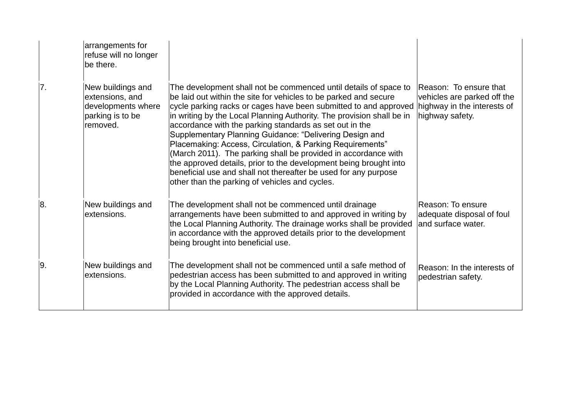|     | arrangements for<br>refuse will no longer<br>be there.                                     |                                                                                                                                                                                                                                                                                                                                                                                                                                                                                                                                                                                                                                                                                                                                  |                                                                                                         |
|-----|--------------------------------------------------------------------------------------------|----------------------------------------------------------------------------------------------------------------------------------------------------------------------------------------------------------------------------------------------------------------------------------------------------------------------------------------------------------------------------------------------------------------------------------------------------------------------------------------------------------------------------------------------------------------------------------------------------------------------------------------------------------------------------------------------------------------------------------|---------------------------------------------------------------------------------------------------------|
| 7.  | New buildings and<br>extensions, and<br>developments where<br>parking is to be<br>removed. | The development shall not be commenced until details of space to<br>be laid out within the site for vehicles to be parked and secure<br>cycle parking racks or cages have been submitted to and approved<br>in writing by the Local Planning Authority. The provision shall be in<br>accordance with the parking standards as set out in the<br>Supplementary Planning Guidance: "Delivering Design and<br>Placemaking: Access, Circulation, & Parking Requirements"<br>(March 2011). The parking shall be provided in accordance with<br>the approved details, prior to the development being brought into<br>beneficial use and shall not thereafter be used for any purpose<br>other than the parking of vehicles and cycles. | Reason: To ensure that<br>vehicles are parked off the<br>highway in the interests of<br>highway safety. |
| Ι8. | New buildings and<br>extensions.                                                           | The development shall not be commenced until drainage<br>arrangements have been submitted to and approved in writing by<br>the Local Planning Authority. The drainage works shall be provided<br>in accordance with the approved details prior to the development<br>being brought into beneficial use.                                                                                                                                                                                                                                                                                                                                                                                                                          | Reason: To ensure<br>adequate disposal of foul<br>and surface water.                                    |
| Ι9. | New buildings and<br>extensions.                                                           | The development shall not be commenced until a safe method of<br>pedestrian access has been submitted to and approved in writing<br>by the Local Planning Authority. The pedestrian access shall be<br>provided in accordance with the approved details.                                                                                                                                                                                                                                                                                                                                                                                                                                                                         | Reason: In the interests of<br>pedestrian safety.                                                       |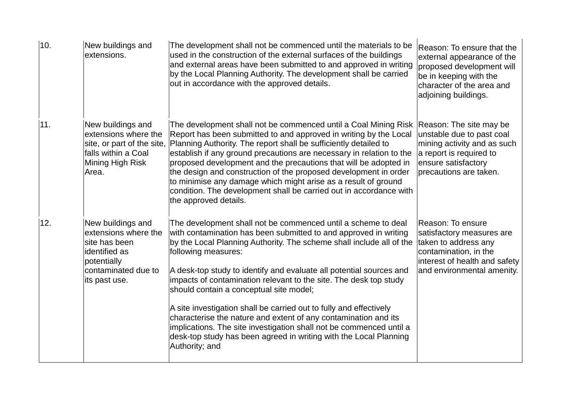| 10. | New buildings and<br>extensions.                                                                                                   | The development shall not be commenced until the materials to be<br>used in the construction of the external surfaces of the buildings<br>and external areas have been submitted to and approved in writing<br>by the Local Planning Authority. The development shall be carried<br>out in accordance with the approved details.                                                                                                                                                                                                                                                                                                                                                                                               | Reason: To ensure that the<br>external appearance of the<br>proposed development will<br>be in keeping with the<br>character of the area and<br>adjoining buildings. |
|-----|------------------------------------------------------------------------------------------------------------------------------------|--------------------------------------------------------------------------------------------------------------------------------------------------------------------------------------------------------------------------------------------------------------------------------------------------------------------------------------------------------------------------------------------------------------------------------------------------------------------------------------------------------------------------------------------------------------------------------------------------------------------------------------------------------------------------------------------------------------------------------|----------------------------------------------------------------------------------------------------------------------------------------------------------------------|
| 11. | New buildings and<br>extensions where the<br>site, or part of the site,<br>falls within a Coal<br>Mining High Risk<br>Area.        | The development shall not be commenced until a Coal Mining Risk<br>Report has been submitted to and approved in writing by the Local<br>Planning Authority. The report shall be sufficiently detailed to<br>establish if any ground precautions are necessary in relation to the<br>proposed development and the precautions that will be adopted in<br>the design and construction of the proposed development in order<br>to minimise any damage which might arise as a result of ground<br>condition. The development shall be carried out in accordance with<br>the approved details.                                                                                                                                      | Reason: The site may be<br>unstable due to past coal<br>mining activity and as such<br>a report is required to<br>ensure satisfactory<br>precautions are taken.      |
| 12. | New buildings and<br>extensions where the<br>site has been<br>identified as<br>potentially<br>contaminated due to<br>its past use. | The development shall not be commenced until a scheme to deal<br>with contamination has been submitted to and approved in writing<br>by the Local Planning Authority. The scheme shall include all of the<br>following measures:<br>A desk-top study to identify and evaluate all potential sources and<br>impacts of contamination relevant to the site. The desk top study<br>should contain a conceptual site model;<br>A site investigation shall be carried out to fully and effectively<br>characterise the nature and extent of any contamination and its<br>implications. The site investigation shall not be commenced until a<br>desk-top study has been agreed in writing with the Local Planning<br>Authority; and | Reason: To ensure<br>satisfactory measures are<br>taken to address any<br>contamination, in the<br>interest of health and safety<br>and environmental amenity.       |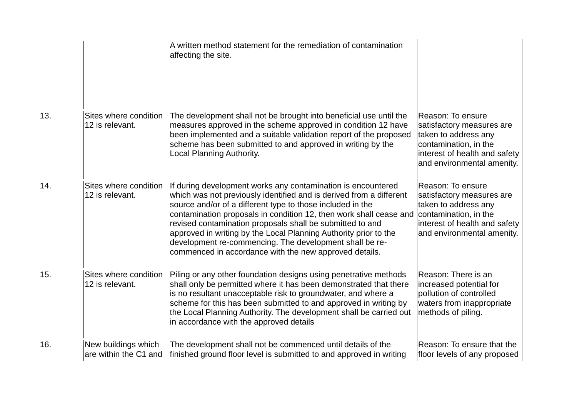|     |                                              | A written method statement for the remediation of contamination<br>affecting the site.                                                                                                                                                                                                                                                                                                                                                                                                                                        |                                                                                                                                                                |
|-----|----------------------------------------------|-------------------------------------------------------------------------------------------------------------------------------------------------------------------------------------------------------------------------------------------------------------------------------------------------------------------------------------------------------------------------------------------------------------------------------------------------------------------------------------------------------------------------------|----------------------------------------------------------------------------------------------------------------------------------------------------------------|
| 13. | Sites where condition<br>12 is relevant.     | The development shall not be brought into beneficial use until the<br>measures approved in the scheme approved in condition 12 have<br>been implemented and a suitable validation report of the proposed<br>scheme has been submitted to and approved in writing by the<br>Local Planning Authority.                                                                                                                                                                                                                          | Reason: To ensure<br>satisfactory measures are<br>taken to address any<br>contamination, in the<br>interest of health and safety<br>and environmental amenity. |
| 14. | Sites where condition<br>12 is relevant.     | If during development works any contamination is encountered<br>which was not previously identified and is derived from a different<br>source and/or of a different type to those included in the<br>contamination proposals in condition 12, then work shall cease and<br>revised contamination proposals shall be submitted to and<br>approved in writing by the Local Planning Authority prior to the<br>development re-commencing. The development shall be re-<br>commenced in accordance with the new approved details. | Reason: To ensure<br>satisfactory measures are<br>taken to address any<br>contamination, in the<br>interest of health and safety<br>and environmental amenity. |
| 15. | Sites where condition<br>12 is relevant.     | Piling or any other foundation designs using penetrative methods<br>shall only be permitted where it has been demonstrated that there<br>is no resultant unacceptable risk to groundwater, and where a<br>scheme for this has been submitted to and approved in writing by<br>the Local Planning Authority. The development shall be carried out<br>in accordance with the approved details                                                                                                                                   | Reason: There is an<br>increased potential for<br>pollution of controlled<br>waters from inappropriate<br>methods of piling.                                   |
| 16. | New buildings which<br>are within the C1 and | The development shall not be commenced until details of the<br>finished ground floor level is submitted to and approved in writing                                                                                                                                                                                                                                                                                                                                                                                            | Reason: To ensure that the<br>floor levels of any proposed                                                                                                     |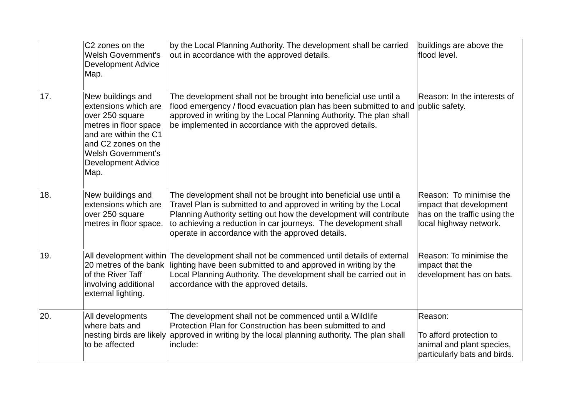|     | C <sub>2</sub> zones on the<br><b>Welsh Government's</b><br><b>Development Advice</b><br>Map.                                                                                                           | by the Local Planning Authority. The development shall be carried<br>out in accordance with the approved details.                                                                                                                                                                                                                 | buildings are above the<br>flood level.                                                                      |
|-----|---------------------------------------------------------------------------------------------------------------------------------------------------------------------------------------------------------|-----------------------------------------------------------------------------------------------------------------------------------------------------------------------------------------------------------------------------------------------------------------------------------------------------------------------------------|--------------------------------------------------------------------------------------------------------------|
| 17. | New buildings and<br>extensions which are<br>over 250 square<br>metres in floor space<br>and are within the C1<br>and C2 zones on the<br><b>Welsh Government's</b><br><b>Development Advice</b><br>Map. | The development shall not be brought into beneficial use until a<br>flood emergency / flood evacuation plan has been submitted to and public safety.<br>approved in writing by the Local Planning Authority. The plan shall<br>be implemented in accordance with the approved details.                                            | Reason: In the interests of                                                                                  |
| 18. | New buildings and<br>extensions which are<br>over 250 square<br>metres in floor space.                                                                                                                  | The development shall not be brought into beneficial use until a<br>Travel Plan is submitted to and approved in writing by the Local<br>Planning Authority setting out how the development will contribute<br>to achieving a reduction in car journeys. The development shall<br>operate in accordance with the approved details. | Reason: To minimise the<br>impact that development<br>has on the traffic using the<br>local highway network. |
| 19. | 20 metres of the bank<br>of the River Taff<br>involving additional<br>external lighting.                                                                                                                | All development within The development shall not be commenced until details of external<br>lighting have been submitted to and approved in writing by the<br>Local Planning Authority. The development shall be carried out in<br>accordance with the approved details.                                                           | Reason: To minimise the<br>impact that the<br>development has on bats.                                       |
| 20. | All developments<br>where bats and<br>nesting birds are likely<br>to be affected                                                                                                                        | The development shall not be commenced until a Wildlife<br>Protection Plan for Construction has been submitted to and<br>approved in writing by the local planning authority. The plan shall<br>include:                                                                                                                          | Reason:<br>To afford protection to<br>animal and plant species,<br>particularly bats and birds.              |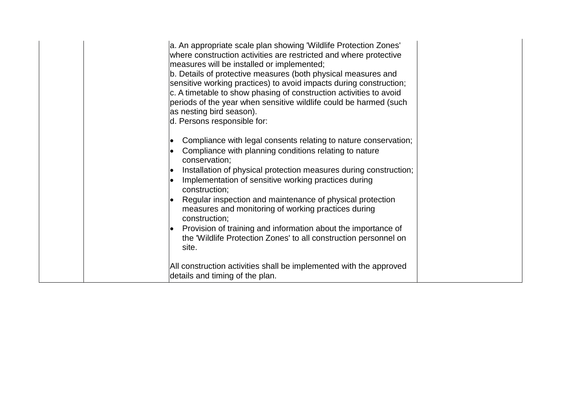| a. An appropriate scale plan showing 'Wildlife Protection Zones'<br>where construction activities are restricted and where protective<br>measures will be installed or implemented;<br>b. Details of protective measures (both physical measures and<br>sensitive working practices) to avoid impacts during construction;<br>c. A timetable to show phasing of construction activities to avoid<br>periods of the year when sensitive wildlife could be harmed (such<br>as nesting bird season).<br>d. Persons responsible for:                                            |
|-----------------------------------------------------------------------------------------------------------------------------------------------------------------------------------------------------------------------------------------------------------------------------------------------------------------------------------------------------------------------------------------------------------------------------------------------------------------------------------------------------------------------------------------------------------------------------|
| Compliance with legal consents relating to nature conservation;<br>Compliance with planning conditions relating to nature<br>conservation;<br>Installation of physical protection measures during construction;<br>Implementation of sensitive working practices during<br>construction;<br>Regular inspection and maintenance of physical protection<br>measures and monitoring of working practices during<br>construction;<br>Provision of training and information about the importance of<br>the 'Wildlife Protection Zones' to all construction personnel on<br>site. |
| All construction activities shall be implemented with the approved<br>details and timing of the plan.                                                                                                                                                                                                                                                                                                                                                                                                                                                                       |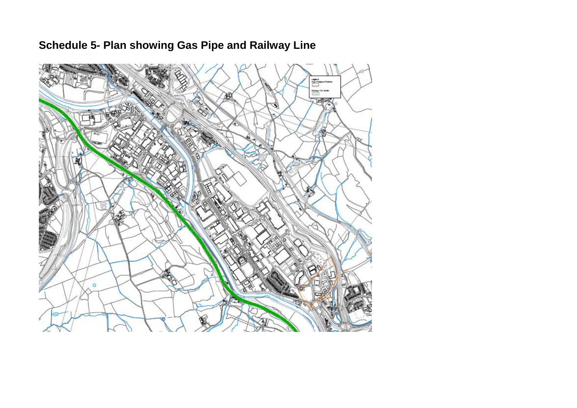# **Refiner The Bull** 医术  $\circ$

# **Schedule 5- Plan showing Gas Pipe and Railway Line**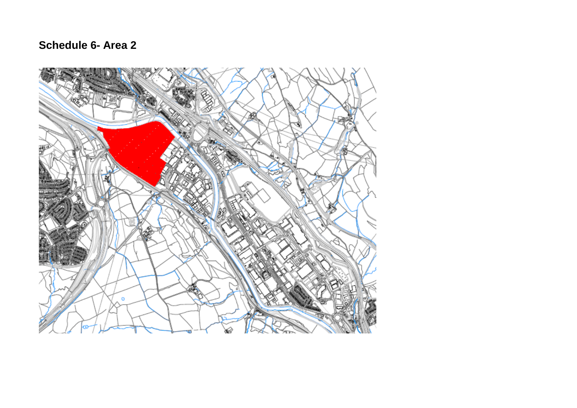# **Schedule 6- Area 2**

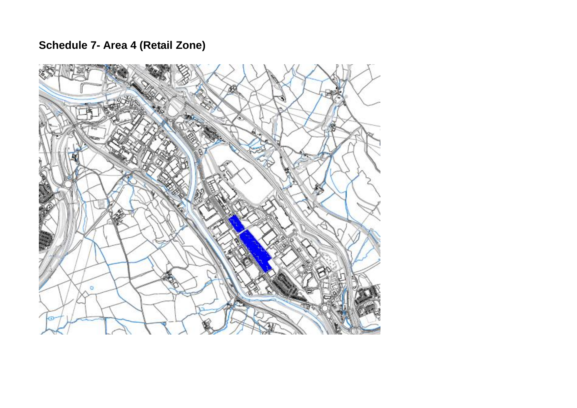# **Schedule 7- Area 4 (Retail Zone)**

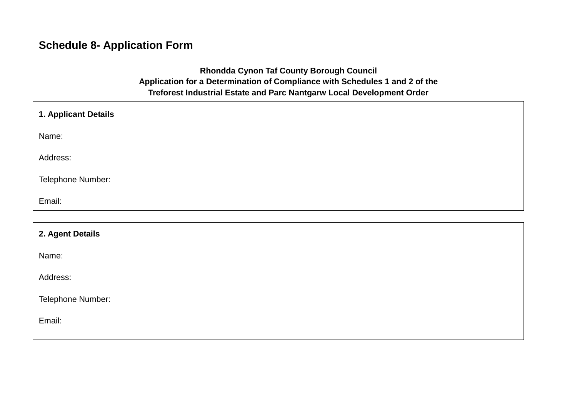# **Schedule 8- Application Form**

## **Rhondda Cynon Taf County Borough Council Application for a Determination of Compliance with Schedules 1 and 2 of the Treforest Industrial Estate and Parc Nantgarw Local Development Order**

| 1. Applicant Details |  |
|----------------------|--|
| Name:                |  |
| Address:             |  |
| Telephone Number:    |  |
| Email:               |  |
|                      |  |

| 2. Agent Details  |  |
|-------------------|--|
| Name:             |  |
| Address:          |  |
| Telephone Number: |  |
| Email:            |  |
|                   |  |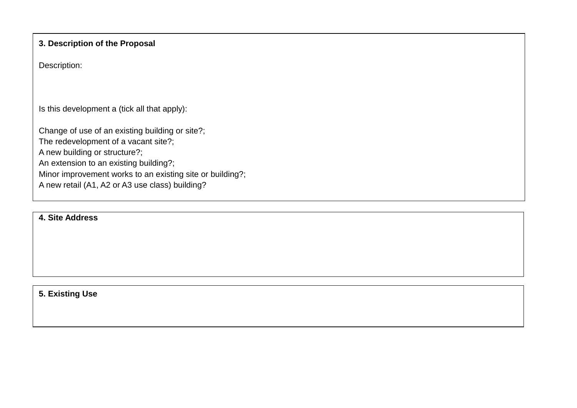#### **3. Description of the Proposal**

Description:

Is this development a (tick all that apply):

Change of use of an existing building or site?;

The redevelopment of a vacant site?;

A new building or structure?;

An extension to an existing building?;

Minor improvement works to an existing site or building?;

A new retail (A1, A2 or A3 use class) building?

#### **4. Site Address**

**5. Existing Use**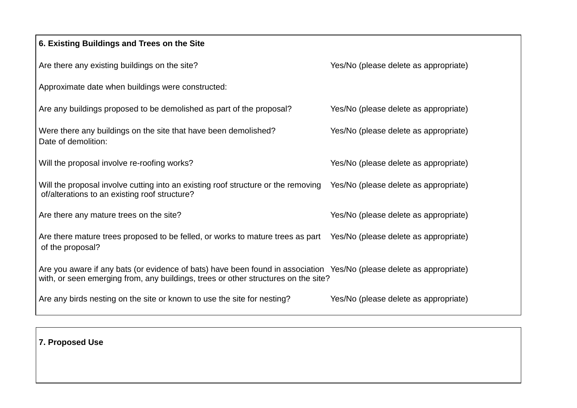| 6. Existing Buildings and Trees on the Site                                                                                                                                                                |                                       |
|------------------------------------------------------------------------------------------------------------------------------------------------------------------------------------------------------------|---------------------------------------|
| Are there any existing buildings on the site?                                                                                                                                                              | Yes/No (please delete as appropriate) |
| Approximate date when buildings were constructed:                                                                                                                                                          |                                       |
| Are any buildings proposed to be demolished as part of the proposal?                                                                                                                                       | Yes/No (please delete as appropriate) |
| Were there any buildings on the site that have been demolished?<br>Date of demolition:                                                                                                                     | Yes/No (please delete as appropriate) |
| Will the proposal involve re-roofing works?                                                                                                                                                                | Yes/No (please delete as appropriate) |
| Will the proposal involve cutting into an existing roof structure or the removing<br>of/alterations to an existing roof structure?                                                                         | Yes/No (please delete as appropriate) |
| Are there any mature trees on the site?                                                                                                                                                                    | Yes/No (please delete as appropriate) |
| Are there mature trees proposed to be felled, or works to mature trees as part<br>of the proposal?                                                                                                         | Yes/No (please delete as appropriate) |
| Are you aware if any bats (or evidence of bats) have been found in association Yes/No (please delete as appropriate)<br>with, or seen emerging from, any buildings, trees or other structures on the site? |                                       |
| Are any birds nesting on the site or known to use the site for nesting?                                                                                                                                    | Yes/No (please delete as appropriate) |

**7. Proposed Use**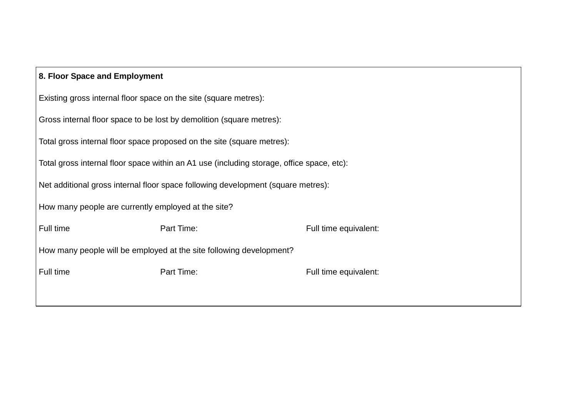| 8. Floor Space and Employment                                       |                                                                                           |                       |  |
|---------------------------------------------------------------------|-------------------------------------------------------------------------------------------|-----------------------|--|
| Existing gross internal floor space on the site (square metres):    |                                                                                           |                       |  |
|                                                                     | Gross internal floor space to be lost by demolition (square metres):                      |                       |  |
|                                                                     | Total gross internal floor space proposed on the site (square metres):                    |                       |  |
|                                                                     | Total gross internal floor space within an A1 use (including storage, office space, etc): |                       |  |
|                                                                     | Net additional gross internal floor space following development (square metres):          |                       |  |
| How many people are currently employed at the site?                 |                                                                                           |                       |  |
| Full time                                                           | Part Time:                                                                                | Full time equivalent: |  |
| How many people will be employed at the site following development? |                                                                                           |                       |  |
| Full time                                                           | Part Time:                                                                                | Full time equivalent: |  |
|                                                                     |                                                                                           |                       |  |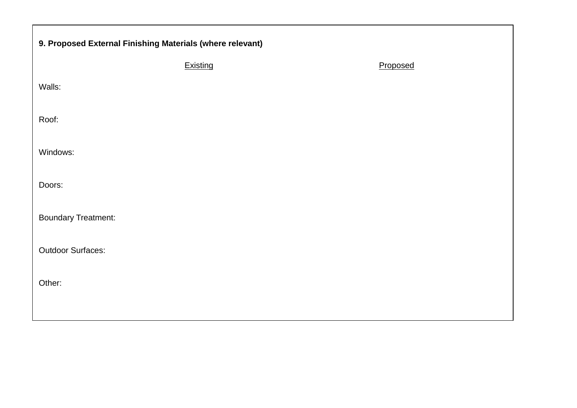| 9. Proposed External Finishing Materials (where relevant) |          |          |  |
|-----------------------------------------------------------|----------|----------|--|
|                                                           | Existing | Proposed |  |
| Walls:                                                    |          |          |  |
| Roof:                                                     |          |          |  |
| Windows:                                                  |          |          |  |
| Doors:                                                    |          |          |  |
| <b>Boundary Treatment:</b>                                |          |          |  |
| <b>Outdoor Surfaces:</b>                                  |          |          |  |
| Other:                                                    |          |          |  |
|                                                           |          |          |  |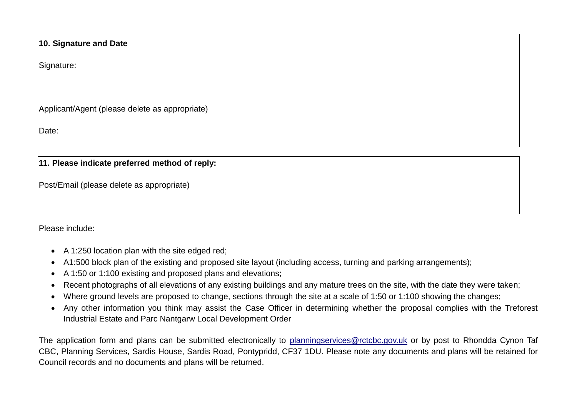#### **10. Signature and Date**

Signature:

Applicant/Agent (please delete as appropriate)

Date:

#### **11. Please indicate preferred method of reply:**

Post/Email (please delete as appropriate)

Please include:

- A 1:250 location plan with the site edged red;
- A1:500 block plan of the existing and proposed site layout (including access, turning and parking arrangements);
- A 1:50 or 1:100 existing and proposed plans and elevations;
- Recent photographs of all elevations of any existing buildings and any mature trees on the site, with the date they were taken;
- Where ground levels are proposed to change, sections through the site at a scale of 1:50 or 1:100 showing the changes;
- Any other information you think may assist the Case Officer in determining whether the proposal complies with the Treforest Industrial Estate and Parc Nantgarw Local Development Order

The application form and plans can be submitted electronically to [planningservices@rctcbc.gov.uk](mailto:planningservices@rctcbc.gov.uk) or by post to Rhondda Cynon Taf CBC, Planning Services, Sardis House, Sardis Road, Pontypridd, CF37 1DU. Please note any documents and plans will be retained for Council records and no documents and plans will be returned.